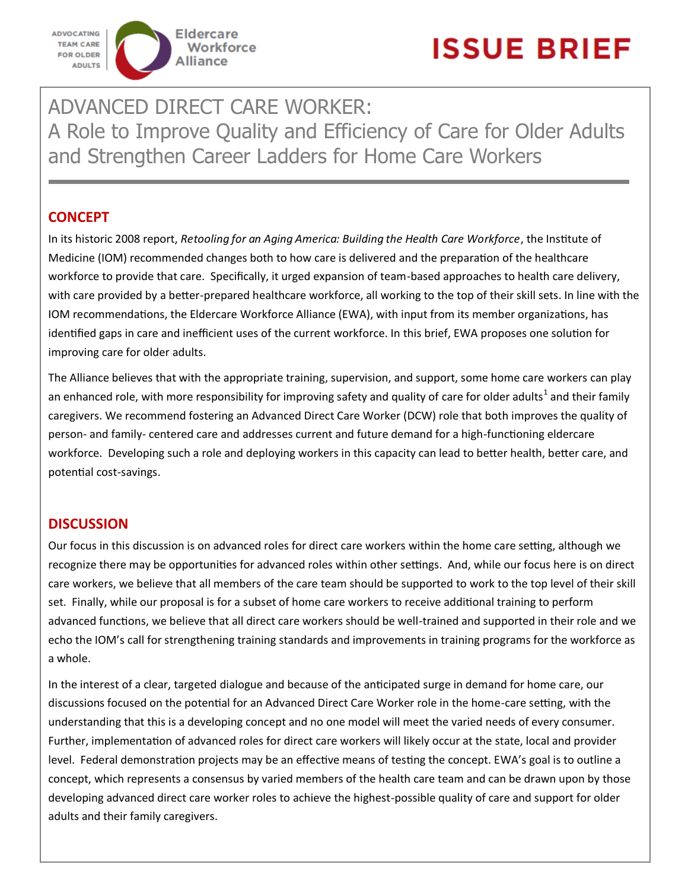

ADVANCED DIRECT CARE WORKER: A Role to Improve Quality and Efficiency of Care for Older Adults and Strengthen Career Ladders for Home Care Workers

# **CONCEPT**

In its historic 2008 report, *Retooling for an Aging America: Building the Health Care Workforce*, the Institute of Medicine (IOM) recommended changes both to how care is delivered and the preparation of the healthcare workforce to provide that care. Specifically, it urged expansion of team-based approaches to health care delivery, with care provided by a better-prepared healthcare workforce, all working to the top of their skill sets. In line with the IOM recommendations, the Eldercare Workforce Alliance (EWA), with input from its member organizations, has identified gaps in care and inefficient uses of the current workforce. In this brief, EWA proposes one solution for improving care for older adults.

The Alliance believes that with the appropriate training, supervision, and support, some home care workers can play an enhanced role, with more responsibility for improving safety and quality of care for older adults<sup>1</sup> and their family caregivers. We recommend fostering an Advanced Direct Care Worker (DCW) role that both improves the quality of person- and family- centered care and addresses current and future demand for a high-functioning eldercare workforce. Developing such a role and deploying workers in this capacity can lead to better health, better care, and potential cost-savings.

# **DISCUSSION**

Our focus in this discussion is on advanced roles for direct care workers within the home care setting, although we recognize there may be opportunities for advanced roles within other settings. And, while our focus here is on direct care workers, we believe that all members of the care team should be supported to work to the top level of their skill set. Finally, while our proposal is for a subset of home care workers to receive additional training to perform advanced functions, we believe that all direct care workers should be well-trained and supported in their role and we echo the IOM's call for strengthening training standards and improvements in training programs for the workforce as a whole.

In the interest of a clear, targeted dialogue and because of the anticipated surge in demand for home care, our discussions focused on the potential for an Advanced Direct Care Worker role in the home-care setting, with the understanding that this is a developing concept and no one model will meet the varied needs of every consumer. Further, implementation of advanced roles for direct care workers will likely occur at the state, local and provider level. Federal demonstration projects may be an effective means of testing the concept. EWA's goal is to outline a concept, which represents a consensus by varied members of the health care team and can be drawn upon by those developing advanced direct care worker roles to achieve the highest-possible quality of care and support for older adults and their family caregivers.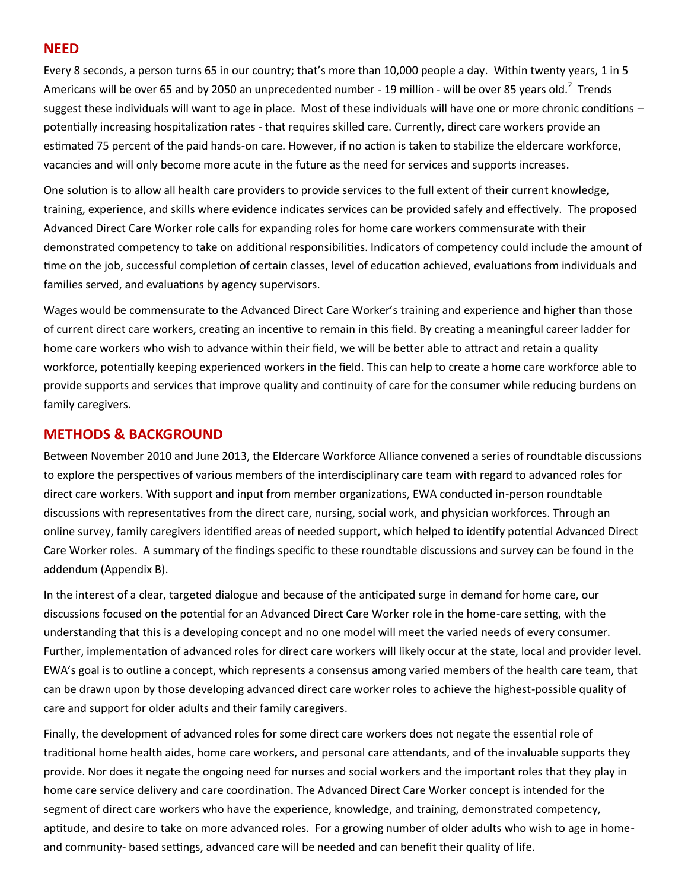## **NEED**

Every 8 seconds, a person turns 65 in our country; that's more than 10,000 people a day. Within twenty years, 1 in 5 Americans will be over 65 and by 2050 an unprecedented number - 19 million - will be over 85 years old.<sup>2</sup> Trends suggest these individuals will want to age in place. Most of these individuals will have one or more chronic conditions potentially increasing hospitalization rates - that requires skilled care. Currently, direct care workers provide an estimated 75 percent of the paid hands-on care. However, if no action is taken to stabilize the eldercare workforce, vacancies and will only become more acute in the future as the need for services and supports increases.

One solution is to allow all health care providers to provide services to the full extent of their current knowledge, training, experience, and skills where evidence indicates services can be provided safely and effectively. The proposed Advanced Direct Care Worker role calls for expanding roles for home care workers commensurate with their demonstrated competency to take on additional responsibilities. Indicators of competency could include the amount of time on the job, successful completion of certain classes, level of education achieved, evaluations from individuals and families served, and evaluations by agency supervisors.

Wages would be commensurate to the Advanced Direct Care Worker's training and experience and higher than those of current direct care workers, creating an incentive to remain in this field. By creating a meaningful career ladder for home care workers who wish to advance within their field, we will be better able to attract and retain a quality workforce, potentially keeping experienced workers in the field. This can help to create a home care workforce able to provide supports and services that improve quality and continuity of care for the consumer while reducing burdens on family caregivers.

## **METHODS & BACKGROUND**

Between November 2010 and June 2013, the Eldercare Workforce Alliance convened a series of roundtable discussions to explore the perspectives of various members of the interdisciplinary care team with regard to advanced roles for direct care workers. With support and input from member organizations, EWA conducted in-person roundtable discussions with representatives from the direct care, nursing, social work, and physician workforces. Through an online survey, family caregivers identified areas of needed support, which helped to identify potential Advanced Direct Care Worker roles. A summary of the findings specific to these roundtable discussions and survey can be found in the addendum (Appendix B).

In the interest of a clear, targeted dialogue and because of the anticipated surge in demand for home care, our discussions focused on the potential for an Advanced Direct Care Worker role in the home-care setting, with the understanding that this is a developing concept and no one model will meet the varied needs of every consumer. Further, implementation of advanced roles for direct care workers will likely occur at the state, local and provider level. EWA's goal is to outline a concept, which represents a consensus among varied members of the health care team, that can be drawn upon by those developing advanced direct care worker roles to achieve the highest-possible quality of care and support for older adults and their family caregivers.

Finally, the development of advanced roles for some direct care workers does not negate the essential role of traditional home health aides, home care workers, and personal care attendants, and of the invaluable supports they provide. Nor does it negate the ongoing need for nurses and social workers and the important roles that they play in home care service delivery and care coordination. The Advanced Direct Care Worker concept is intended for the segment of direct care workers who have the experience, knowledge, and training, demonstrated competency, aptitude, and desire to take on more advanced roles. For a growing number of older adults who wish to age in homeand community- based settings, advanced care will be needed and can benefit their quality of life.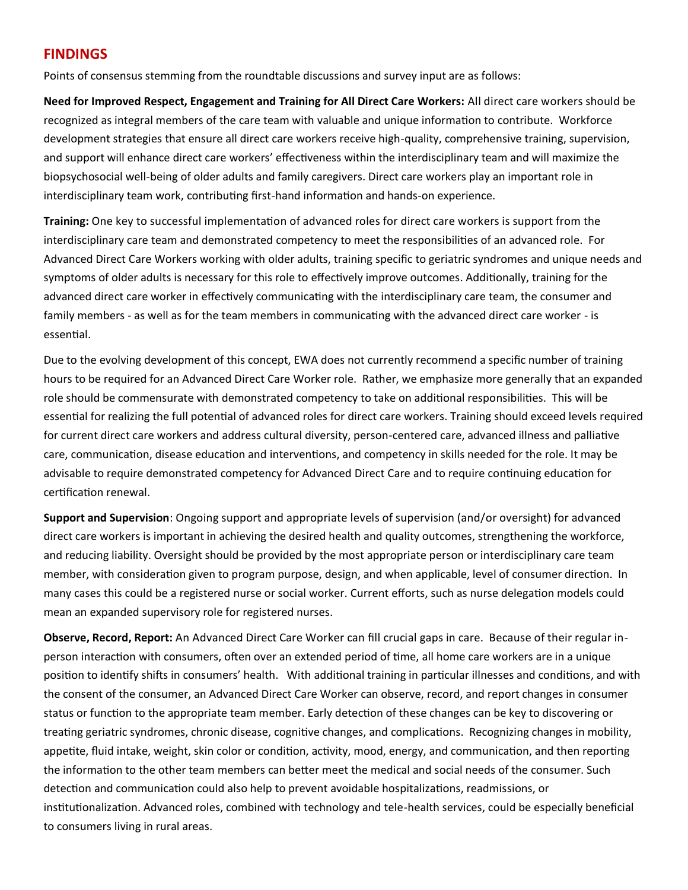# **FINDINGS**

Points of consensus stemming from the roundtable discussions and survey input are as follows:

**Need for Improved Respect, Engagement and Training for All Direct Care Workers:** All direct care workers should be recognized as integral members of the care team with valuable and unique information to contribute. Workforce development strategies that ensure all direct care workers receive high-quality, comprehensive training, supervision, and support will enhance direct care workers' effectiveness within the interdisciplinary team and will maximize the biopsychosocial well-being of older adults and family caregivers. Direct care workers play an important role in interdisciplinary team work, contributing first-hand information and hands-on experience.

**Training:** One key to successful implementation of advanced roles for direct care workers is support from the interdisciplinary care team and demonstrated competency to meet the responsibilities of an advanced role. For Advanced Direct Care Workers working with older adults, training specific to geriatric syndromes and unique needs and symptoms of older adults is necessary for this role to effectively improve outcomes. Additionally, training for the advanced direct care worker in effectively communicating with the interdisciplinary care team, the consumer and family members - as well as for the team members in communicating with the advanced direct care worker - is essential.

Due to the evolving development of this concept, EWA does not currently recommend a specific number of training hours to be required for an Advanced Direct Care Worker role. Rather, we emphasize more generally that an expanded role should be commensurate with demonstrated competency to take on additional responsibilities. This will be essential for realizing the full potential of advanced roles for direct care workers. Training should exceed levels required for current direct care workers and address cultural diversity, person-centered care, advanced illness and palliative care, communication, disease education and interventions, and competency in skills needed for the role. It may be advisable to require demonstrated competency for Advanced Direct Care and to require continuing education for certification renewal.

**Support and Supervision**: Ongoing support and appropriate levels of supervision (and/or oversight) for advanced direct care workers is important in achieving the desired health and quality outcomes, strengthening the workforce, and reducing liability. Oversight should be provided by the most appropriate person or interdisciplinary care team member, with consideration given to program purpose, design, and when applicable, level of consumer direction. In many cases this could be a registered nurse or social worker. Current efforts, such as nurse delegation models could mean an expanded supervisory role for registered nurses.

**Observe, Record, Report:** An Advanced Direct Care Worker can fill crucial gaps in care. Because of their regular inperson interaction with consumers, often over an extended period of time, all home care workers are in a unique position to identify shifts in consumers' health. With additional training in particular illnesses and conditions, and with the consent of the consumer, an Advanced Direct Care Worker can observe, record, and report changes in consumer status or function to the appropriate team member. Early detection of these changes can be key to discovering or treating geriatric syndromes, chronic disease, cognitive changes, and complications. Recognizing changes in mobility, appetite, fluid intake, weight, skin color or condition, activity, mood, energy, and communication, and then reporting the information to the other team members can better meet the medical and social needs of the consumer. Such detection and communication could also help to prevent avoidable hospitalizations, readmissions, or institutionalization. Advanced roles, combined with technology and tele-health services, could be especially beneficial to consumers living in rural areas.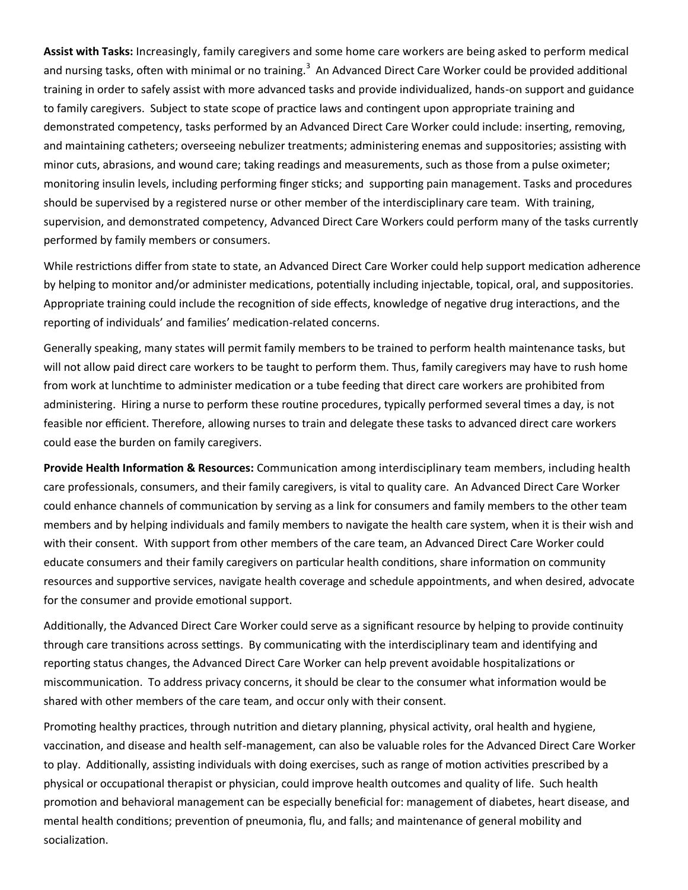**Assist with Tasks:** Increasingly, family caregivers and some home care workers are being asked to perform medical and nursing tasks, often with minimal or no training.<sup>3</sup> An Advanced Direct Care Worker could be provided additional training in order to safely assist with more advanced tasks and provide individualized, hands-on support and guidance to family caregivers. Subject to state scope of practice laws and contingent upon appropriate training and demonstrated competency, tasks performed by an Advanced Direct Care Worker could include: inserting, removing, and maintaining catheters; overseeing nebulizer treatments; administering enemas and suppositories; assisting with minor cuts, abrasions, and wound care; taking readings and measurements, such as those from a pulse oximeter; monitoring insulin levels, including performing finger sticks; and supporting pain management. Tasks and procedures should be supervised by a registered nurse or other member of the interdisciplinary care team. With training, supervision, and demonstrated competency, Advanced Direct Care Workers could perform many of the tasks currently performed by family members or consumers.

While restrictions differ from state to state, an Advanced Direct Care Worker could help support medication adherence by helping to monitor and/or administer medications, potentially including injectable, topical, oral, and suppositories. Appropriate training could include the recognition of side effects, knowledge of negative drug interactions, and the reporting of individuals' and families' medication-related concerns.

Generally speaking, many states will permit family members to be trained to perform health maintenance tasks, but will not allow paid direct care workers to be taught to perform them. Thus, family caregivers may have to rush home from work at lunchtime to administer medication or a tube feeding that direct care workers are prohibited from administering. Hiring a nurse to perform these routine procedures, typically performed several times a day, is not feasible nor efficient. Therefore, allowing nurses to train and delegate these tasks to advanced direct care workers could ease the burden on family caregivers.

**Provide Health Information & Resources:** Communication among interdisciplinary team members, including health care professionals, consumers, and their family caregivers, is vital to quality care. An Advanced Direct Care Worker could enhance channels of communication by serving as a link for consumers and family members to the other team members and by helping individuals and family members to navigate the health care system, when it is their wish and with their consent. With support from other members of the care team, an Advanced Direct Care Worker could educate consumers and their family caregivers on particular health conditions, share information on community resources and supportive services, navigate health coverage and schedule appointments, and when desired, advocate for the consumer and provide emotional support.

Additionally, the Advanced Direct Care Worker could serve as a significant resource by helping to provide continuity through care transitions across settings. By communicating with the interdisciplinary team and identifying and reporting status changes, the Advanced Direct Care Worker can help prevent avoidable hospitalizations or miscommunication. To address privacy concerns, it should be clear to the consumer what information would be shared with other members of the care team, and occur only with their consent.

Promoting healthy practices, through nutrition and dietary planning, physical activity, oral health and hygiene, vaccination, and disease and health self-management, can also be valuable roles for the Advanced Direct Care Worker to play. Additionally, assisting individuals with doing exercises, such as range of motion activities prescribed by a physical or occupational therapist or physician, could improve health outcomes and quality of life. Such health promotion and behavioral management can be especially beneficial for: management of diabetes, heart disease, and mental health conditions; prevention of pneumonia, flu, and falls; and maintenance of general mobility and socialization.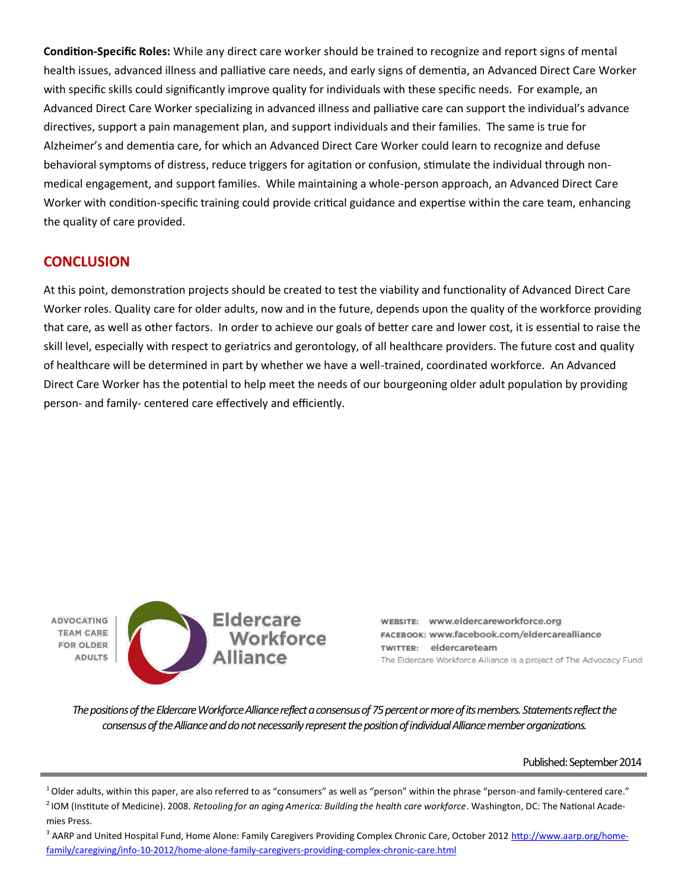**Condition-Specific Roles:** While any direct care worker should be trained to recognize and report signs of mental health issues, advanced illness and palliative care needs, and early signs of dementia, an Advanced Direct Care Worker with specific skills could significantly improve quality for individuals with these specific needs. For example, an Advanced Direct Care Worker specializing in advanced illness and palliative care can support the individual's advance directives, support a pain management plan, and support individuals and their families. The same is true for Alzheimer's and dementia care, for which an Advanced Direct Care Worker could learn to recognize and defuse behavioral symptoms of distress, reduce triggers for agitation or confusion, stimulate the individual through nonmedical engagement, and support families. While maintaining a whole-person approach, an Advanced Direct Care Worker with condition-specific training could provide critical guidance and expertise within the care team, enhancing the quality of care provided.

## **CONCLUSION**

At this point, demonstration projects should be created to test the viability and functionality of Advanced Direct Care Worker roles. Quality care for older adults, now and in the future, depends upon the quality of the workforce providing that care, as well as other factors. In order to achieve our goals of better care and lower cost, it is essential to raise the skill level, especially with respect to geriatrics and gerontology, of all healthcare providers. The future cost and quality of healthcare will be determined in part by whether we have a well-trained, coordinated workforce. An Advanced Direct Care Worker has the potential to help meet the needs of our bourgeoning older adult population by providing person- and family- centered care effectively and efficiently.

**ADVOCATING TEAM CARE FOR OLDER ADULTS** 



WEBSITE: WWW.eldercareworkforce.org FACEBOOK: www.facebook.com/eldercarealliance TWITTER: eldercareteam The Eldercare Workforce Alliance is a project of The Advocacy Fund

*The positions of the Eldercare Workforce Alliance reflect a consensus of 75 percent or more of its members. Statements reflect the consensus of the Alliance and do not necessarily represent the position of individual Alliance member organizations.*

Published: September 2014

<sup>1</sup> Older adults, within this paper, are also referred to as "consumers" as well as "person" within the phrase "person-and family-centered care." <sup>2</sup> IOM (Institute of Medicine). 2008. Retooling for an aging America: Building the health care workforce. Washington, DC: The National Academies Press.

<sup>3</sup> AARP and United Hospital Fund, Home Alone: Family Caregivers Providing Complex Chronic Care, October 2012 [http://www.aarp.org/home](http://www.aarp.org/home-family/caregiving/info-10-2012/home-alone-family-caregivers-providing-complex-chronic-care.html)[family/caregiving/info](http://www.aarp.org/home-family/caregiving/info-10-2012/home-alone-family-caregivers-providing-complex-chronic-care.html)-10-2012/home-alone-family-caregivers-providing-complex-chronic-care.html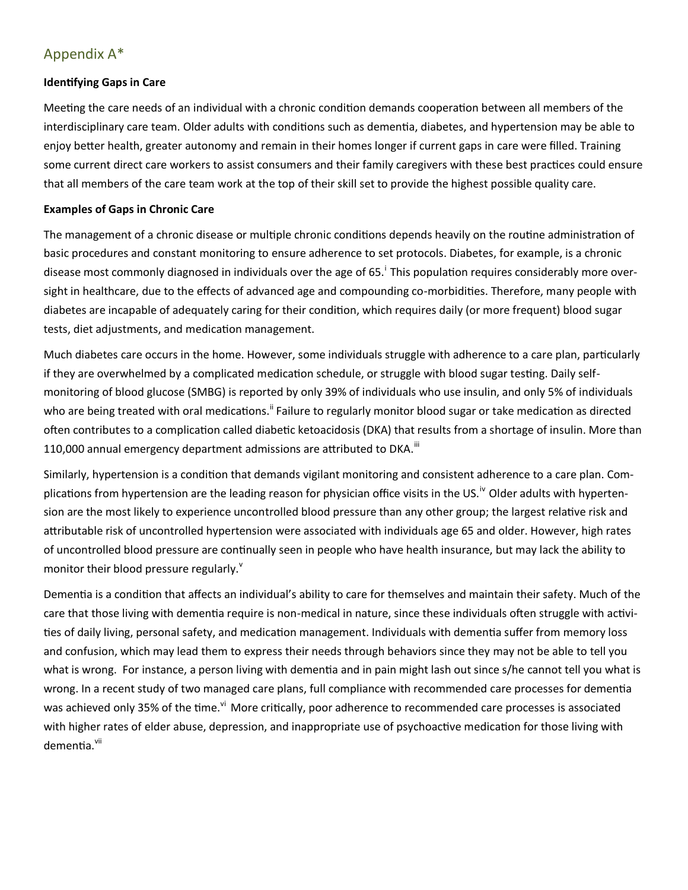# Appendix A\*

## **Identifying Gaps in Care**

Meeting the care needs of an individual with a chronic condition demands cooperation between all members of the interdisciplinary care team. Older adults with conditions such as dementia, diabetes, and hypertension may be able to enjoy better health, greater autonomy and remain in their homes longer if current gaps in care were filled. Training some current direct care workers to assist consumers and their family caregivers with these best practices could ensure that all members of the care team work at the top of their skill set to provide the highest possible quality care.

#### **Examples of Gaps in Chronic Care**

The management of a chronic disease or multiple chronic conditions depends heavily on the routine administration of basic procedures and constant monitoring to ensure adherence to set protocols. Diabetes, for example, is a chronic disease most commonly diagnosed in individuals over the age of 65.<sup>i</sup> This population requires considerably more oversight in healthcare, due to the effects of advanced age and compounding co-morbidities. Therefore, many people with diabetes are incapable of adequately caring for their condition, which requires daily (or more frequent) blood sugar tests, diet adjustments, and medication management.

Much diabetes care occurs in the home. However, some individuals struggle with adherence to a care plan, particularly if they are overwhelmed by a complicated medication schedule, or struggle with blood sugar testing. Daily selfmonitoring of blood glucose (SMBG) is reported by only 39% of individuals who use insulin, and only 5% of individuals who are being treated with oral medications.<sup>ii</sup> Failure to regularly monitor blood sugar or take medication as directed often contributes to a complication called diabetic ketoacidosis (DKA) that results from a shortage of insulin. More than 110,000 annual emergency department admissions are attributed to DKA. $^{\text{iii}}$ 

Similarly, hypertension is a condition that demands vigilant monitoring and consistent adherence to a care plan. Complications from hypertension are the leading reason for physician office visits in the US.<sup>iv</sup> Older adults with hypertension are the most likely to experience uncontrolled blood pressure than any other group; the largest relative risk and attributable risk of uncontrolled hypertension were associated with individuals age 65 and older. However, high rates of uncontrolled blood pressure are continually seen in people who have health insurance, but may lack the ability to monitor their blood pressure regularly. $v$ 

Dementia is a condition that affects an individual's ability to care for themselves and maintain their safety. Much of the care that those living with dementia require is non-medical in nature, since these individuals often struggle with activities of daily living, personal safety, and medication management. Individuals with dementia suffer from memory loss and confusion, which may lead them to express their needs through behaviors since they may not be able to tell you what is wrong. For instance, a person living with dementia and in pain might lash out since s/he cannot tell you what is wrong. In a recent study of two managed care plans, full compliance with recommended care processes for dementia was achieved only 35% of the time.<sup>vi</sup> More critically, poor adherence to recommended care processes is associated with higher rates of elder abuse, depression, and inappropriate use of psychoactive medication for those living with dementia.<sup>vii</sup>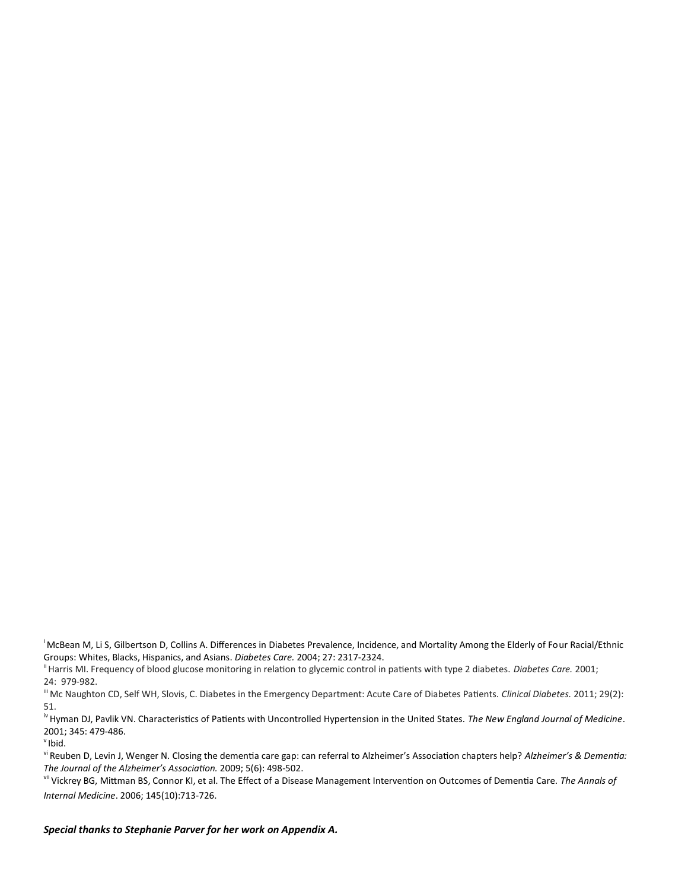<sup>i</sup> McBean M, Li S, Gilbertson D, Collins A. Differences in Diabetes Prevalence, Incidence, and Mortality Among the Elderly of Four Racial/Ethnic Groups: Whites, Blacks, Hispanics, and Asians. *Diabetes Care.* 2004; 27: 2317-2324.

ii Harris MI. Frequency of blood glucose monitoring in relation to glycemic control in patients with type 2 diabetes. *Diabetes Care.* 2001; 24: 979-982.

iii Mc Naughton CD, Self WH, Slovis, C. Diabetes in the Emergency Department: Acute Care of Diabetes Patients. *Clinical Diabetes.* 2011; 29(2): 51.

iv Hyman DJ, Pavlik VN. Characteristics of Patients with Uncontrolled Hypertension in the United States. *The New England Journal of Medicine*. 2001; 345: 479-486.

 $v$ Ibid.

vi Reuben D, Levin J, Wenger N. Closing the dementia care gap: can referral to Alzheimer's Association chapters help? *Alzheimer's & Dementia: The Journal of the Alzheimer's Association.* 2009; 5(6): 498-502.

vii Vickrey BG, Mittman BS, Connor KI, et al. The Effect of a Disease Management Intervention on Outcomes of Dementia Care. *The Annals of Internal Medicine*. 2006; 145(10):713-726.

*Special thanks to Stephanie Parver for her work on Appendix A.*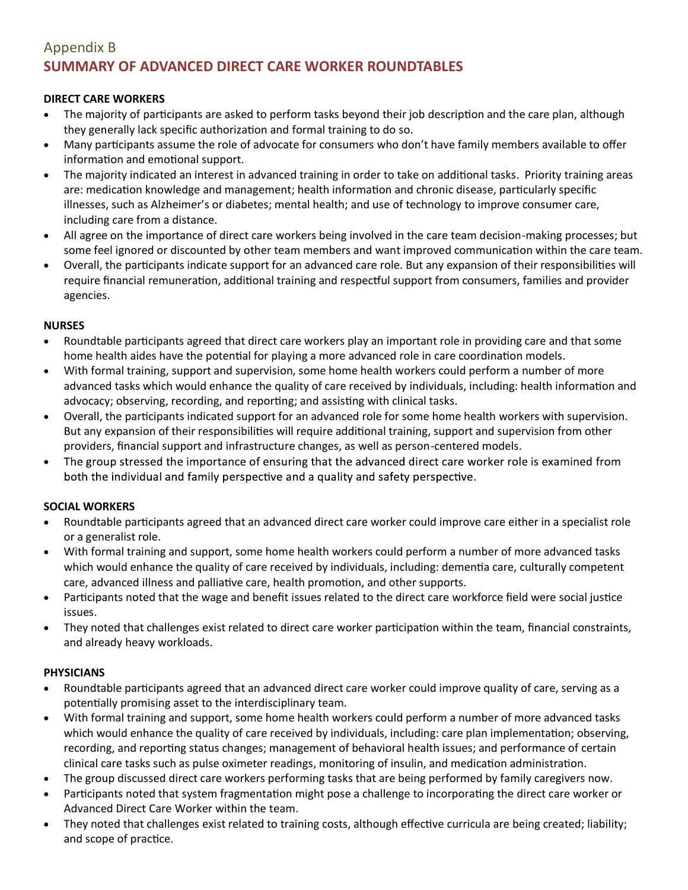# Appendix B **SUMMARY OF ADVANCED DIRECT CARE WORKER ROUNDTABLES**

## **DIRECT CARE WORKERS**

- The majority of participants are asked to perform tasks beyond their job description and the care plan, although they generally lack specific authorization and formal training to do so.
- Many participants assume the role of advocate for consumers who don't have family members available to offer information and emotional support.
- The majority indicated an interest in advanced training in order to take on additional tasks. Priority training areas are: medication knowledge and management; health information and chronic disease, particularly specific illnesses, such as Alzheimer's or diabetes; mental health; and use of technology to improve consumer care, including care from a distance.
- All agree on the importance of direct care workers being involved in the care team decision-making processes; but some feel ignored or discounted by other team members and want improved communication within the care team.
- Overall, the participants indicate support for an advanced care role. But any expansion of their responsibilities will require financial remuneration, additional training and respectful support from consumers, families and provider agencies.

## **NURSES**

- Roundtable participants agreed that direct care workers play an important role in providing care and that some home health aides have the potential for playing a more advanced role in care coordination models.
- With formal training, support and supervision, some home health workers could perform a number of more advanced tasks which would enhance the quality of care received by individuals, including: health information and advocacy; observing, recording, and reporting; and assisting with clinical tasks.
- Overall, the participants indicated support for an advanced role for some home health workers with supervision. But any expansion of their responsibilities will require additional training, support and supervision from other providers, financial support and infrastructure changes, as well as person-centered models.
- The group stressed the importance of ensuring that the advanced direct care worker role is examined from  $\bullet$ both the individual and family perspective and a quality and safety perspective.

## **SOCIAL WORKERS**

- Roundtable participants agreed that an advanced direct care worker could improve care either in a specialist role or a generalist role.
- With formal training and support, some home health workers could perform a number of more advanced tasks which would enhance the quality of care received by individuals, including: dementia care, culturally competent care, advanced illness and palliative care, health promotion, and other supports.
- Participants noted that the wage and benefit issues related to the direct care workforce field were social justice issues.
- They noted that challenges exist related to direct care worker participation within the team, financial constraints, and already heavy workloads.

## **PHYSICIANS**

- Roundtable participants agreed that an advanced direct care worker could improve quality of care, serving as a potentially promising asset to the interdisciplinary team.
- With formal training and support, some home health workers could perform a number of more advanced tasks which would enhance the quality of care received by individuals, including: care plan implementation; observing, recording, and reporting status changes; management of behavioral health issues; and performance of certain clinical care tasks such as pulse oximeter readings, monitoring of insulin, and medication administration.
- The group discussed direct care workers performing tasks that are being performed by family caregivers now.
- Participants noted that system fragmentation might pose a challenge to incorporating the direct care worker or Advanced Direct Care Worker within the team.
- They noted that challenges exist related to training costs, although effective curricula are being created; liability; and scope of practice.